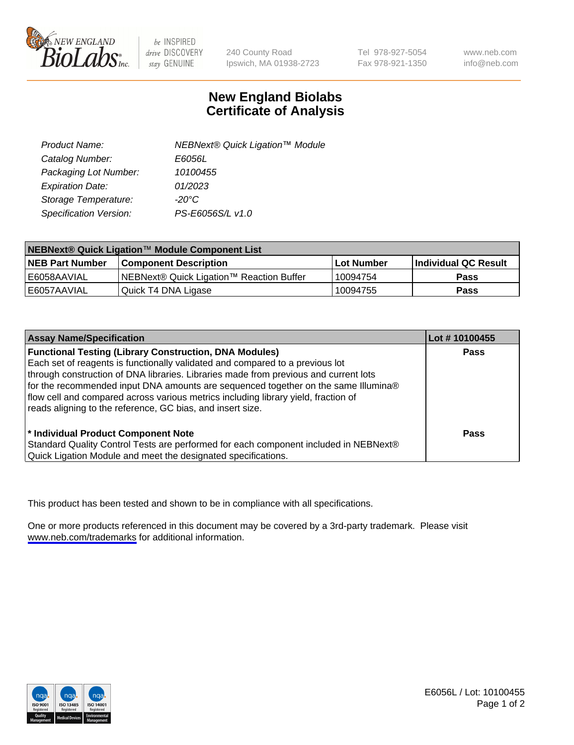

be INSPIRED drive DISCOVERY stay GENUINE

240 County Road Ipswich, MA 01938-2723 Tel 978-927-5054 Fax 978-921-1350

www.neb.com info@neb.com

## **New England Biolabs Certificate of Analysis**

| Product Name:           | NEBNext® Quick Ligation™ Module |
|-------------------------|---------------------------------|
| Catalog Number:         | E6056L                          |
| Packaging Lot Number:   | 10100455                        |
| <b>Expiration Date:</b> | 01/2023                         |
| Storage Temperature:    | $-20^{\circ}$ C                 |
| Specification Version:  | PS-E6056S/L v1.0                |

| NEBNext® Quick Ligation™ Module Component List |                                          |             |                             |  |
|------------------------------------------------|------------------------------------------|-------------|-----------------------------|--|
| <b>NEB Part Number</b>                         | l Component Description                  | ⊺Lot Number | <b>Individual QC Result</b> |  |
| E6058AAVIAL                                    | NEBNext® Quick Ligation™ Reaction Buffer | 10094754    | <b>Pass</b>                 |  |
| E6057AAVIAL                                    | Quick T4 DNA Ligase                      | 10094755    | <b>Pass</b>                 |  |

| <b>Assay Name/Specification</b>                                                      | Lot #10100455 |
|--------------------------------------------------------------------------------------|---------------|
| <b>Functional Testing (Library Construction, DNA Modules)</b>                        | <b>Pass</b>   |
| Each set of reagents is functionally validated and compared to a previous lot        |               |
| through construction of DNA libraries. Libraries made from previous and current lots |               |
| for the recommended input DNA amounts are sequenced together on the same Illumina®   |               |
| flow cell and compared across various metrics including library yield, fraction of   |               |
| reads aligning to the reference, GC bias, and insert size.                           |               |
|                                                                                      |               |
| * Individual Product Component Note                                                  | Pass          |
| Standard Quality Control Tests are performed for each component included in NEBNext® |               |
| Quick Ligation Module and meet the designated specifications.                        |               |

This product has been tested and shown to be in compliance with all specifications.

One or more products referenced in this document may be covered by a 3rd-party trademark. Please visit <www.neb.com/trademarks>for additional information.